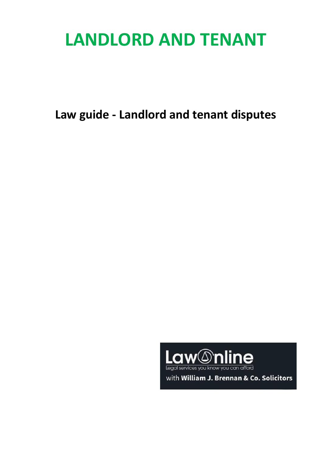# **LANDLORD AND TENANT**

**Law guide - Landlord and tenant disputes**



with William J. Brennan & Co. Solicitors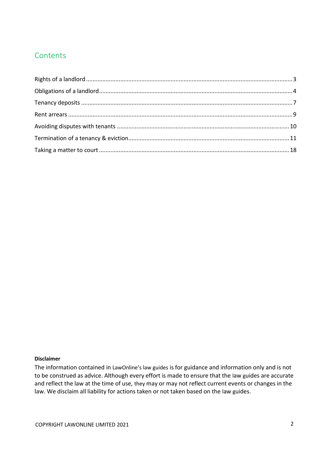# **Contents**

#### **Disclaimer**

The information contained in LawOnline's law guides is for guidance and information only and is not to be construed as advice. Although every effort is made to ensure that the law guides are accurate and reflect the law at the time of use, they may or may not reflect current events or changes in the law. We disclaim all liability for actions taken or not taken based on the law guides.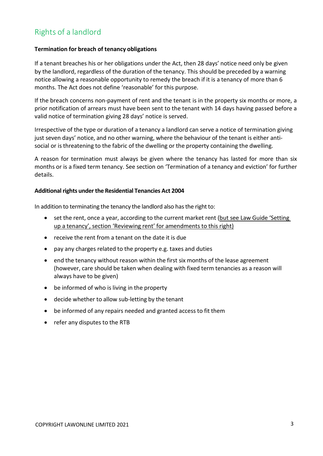# <span id="page-2-0"></span>Rights of a landlord

#### **Termination for breach of tenancy obligations**

If a tenant breaches his or her obligations under the Act, then 28 days' notice need only be given by the landlord, regardless of the duration of the tenancy. This should be preceded by a warning notice allowing a reasonable opportunity to remedy the breach if it is a tenancy of more than 6 months. The Act does not define 'reasonable' for this purpose.

If the breach concerns non-payment of rent and the tenant is in the property six months or more, a prior notification of arrears must have been sent to the tenant with 14 days having passed before a valid notice of termination giving 28 days' notice is served.

Irrespective of the type or duration of a tenancy a landlord can serve a notice of termination giving just seven days' notice, and no other warning, where the behaviour of the tenant is either antisocial or is threatening to the fabric of the dwelling or the property containing the dwelling.

A reason for termination must always be given where the tenancy has lasted for more than six months or is a fixed term tenancy. See section on 'Termination of a tenancy and eviction' for further details.

#### **Additional rights under the Residential Tenancies Act 2004**

In addition to terminating the tenancy the landlord also has the right to:

- set the rent, once a year, according to the current market rent (but see Law Guide 'Setting up a tenancy', section 'Reviewing rent' for amendments to this right)
- receive the rent from a tenant on the date it is due
- pay any charges related to the property e.g. taxes and duties
- end the tenancy without reason within the first six months of the lease agreement (however, care should be taken when dealing with fixed term tenancies as a reason will always have to be given)
- be informed of who is living in the property
- decide whether to allow sub-letting by the tenant
- be informed of any repairs needed and granted access to fit them
- refer any disputes to the RTB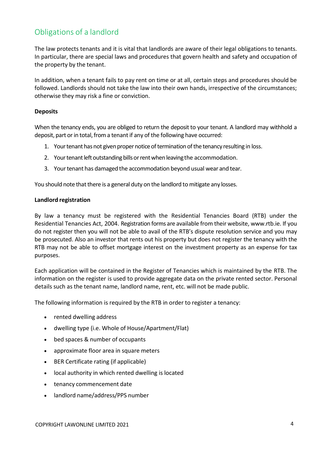# <span id="page-3-0"></span>Obligations of a landlord

The law protects tenants and it is vital that landlords are aware of their legal obligations to tenants. In particular, there are special laws and procedures that govern health and safety and occupation of the property by the tenant.

In addition, when a tenant fails to pay rent on time or at all, certain steps and procedures should be followed. Landlords should not take the law into their own hands, irrespective of the circumstances; otherwise they may risk a fine or conviction.

#### **Deposits**

When the tenancy ends, you are obliged to return the deposit to your tenant. A landlord may withhold a deposit, part or in total, from a tenant if any of the following have occurred:

- 1. Your tenant has not given proper notice of termination of the tenancy resulting in loss.
- 2. Your tenant left outstanding bills or rent when leaving the accommodation.
- 3. Your tenant has damaged the accommodation beyond usual wear and tear.

You should note that there is a general duty on the landlord to mitigate any losses.

#### **Landlord registration**

By law a tenancy must be registered with the Residential Tenancies Board (RTB) under the Residential Tenancies Act, 2004. Registration forms are available from their website, [www.rtb.ie.](http://www.prtb.ie/) If you do not register then you will not be able to avail of the RTB's dispute resolution service and you may be prosecuted. Also an investor that rents out his property but does not register the tenancy with the RTB may not be able to offset mortgage interest on the investment property as an expense for tax purposes.

Each application will be contained in the Register of Tenancies which is maintained by the RTB. The information on the register is used to provide aggregate data on the private rented sector. Personal details such as the tenant name, landlord name, rent, etc. will not be made public.

The following information is required by the RTB in order to register a tenancy:

- rented dwelling address
- dwelling type (i.e. Whole of House/Apartment/Flat)
- bed spaces & number of occupants
- approximate floor area in square meters
- BER Certificate rating (if applicable)
- local authority in which rented dwelling is located
- tenancy commencement date
- landlord name/address/PPS number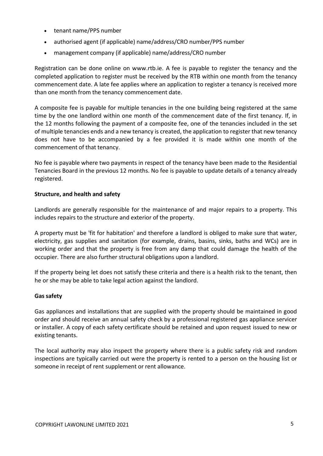- tenant name/PPS number
- authorised agent (if applicable) name/address/CRO number/PPS number
- management company (if applicable) name/address/CRO number

Registration can be done [online](https://www.landlordregistrationscotland.gov.uk/Pages/Process.aspx?Command=ShowHomePage) on [www.rtb.ie.](http://www.rtb.ie/) A fee is payable to register the tenancy and the completed application to register must be received by the RTB within one month from the tenancy commencement date. A late fee applies where an application to register a tenancy is received more than one month from the tenancy commencement date.

A composite fee is payable for multiple tenancies in the one building being registered at the same time by the one landlord within one month of the commencement date of the first tenancy. If, in the 12 months following the payment of a composite fee, one of the tenancies included in the set of multiple tenancies ends and a new tenancy is created, the application to register that new tenancy does not have to be accompanied by a fee provided it is made within one month of the commencement of that tenancy.

No fee is payable where two payments in respect of the tenancy have been made to the Residential Tenancies Board in the previous 12 months. No fee is payable to update details of a tenancy already registered.

#### **Structure, and health and safety**

Landlords are generally responsible for the maintenance of and major repairs to a property. This includes repairs to the structure and exterior of the property.

A property must be 'fit for habitation' and therefore a landlord is obliged to make sure that water, electricity, gas supplies and sanitation (for example, drains, basins, sinks, baths and WCs) are in working order and that the property is free from any damp that could damage the health of the occupier. There are also further structural obligations upon a landlord.

If the property being let does not satisfy these criteria and there is a health risk to the tenant, then he or she may be able to take legal action against the landlord.

#### **Gassafety**

Gas appliances and installations that are supplied with the property should be maintained in good order and should receive an annual safety check by a professional registered gas appliance servicer or installer. A copy of each safety certificate should be retained and upon request issued to new or existing tenants.

The local authority may also inspect the property where there is a public safety risk and random inspections are typically carried out were the property is rented to a person on the housing list or someone in receipt of rent supplement or rent allowance.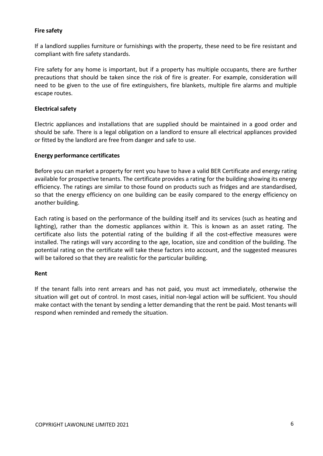#### **Fire safety**

If a landlord supplies furniture or furnishings with the property, these need to be fire resistant and compliant with fire safety standards.

Fire safety for any home is important, but if a property has multiple occupants, there are further precautions that should be taken since the risk of fire is greater. For example, consideration will need to be given to the use of fire extinguishers, fire blankets, multiple fire alarms and multiple escape routes.

#### **Electrical safety**

Electric appliances and installations that are supplied should be maintained in a good order and should be safe. There is a legal obligation on a landlord to ensure all electrical appliances provided or fitted by the landlord are free from danger and safe to use.

#### **Energy performance certificates**

Before you can market a property for rent you have to have a valid BER Certificate and energy rating available for prospective tenants. The certificate provides a rating for the building showing its energy efficiency. The ratings are similar to those found on products such as fridges and are standardised, so that the energy efficiency on one building can be easily compared to the energy efficiency on another building.

Each rating is based on the performance of the building itself and its services (such as heating and lighting), rather than the domestic appliances within it. This is known as an asset rating. The certificate also lists the potential rating of the building if all the cost-effective measures were installed. The ratings will vary according to the age, location, size and condition of the building. The potential rating on the certificate will take these factors into account, and the suggested measures will be tailored so that they are realistic for the particular building.

#### **Rent**

If the tenant falls into rent arrears and has not paid, you must act immediately, otherwise the situation will get out of control. In most cases, initial non-legal action will be sufficient. You should make contact with the tenant by sending a letter demanding that the rent be paid. Most tenants will respond when reminded and remedy the situation.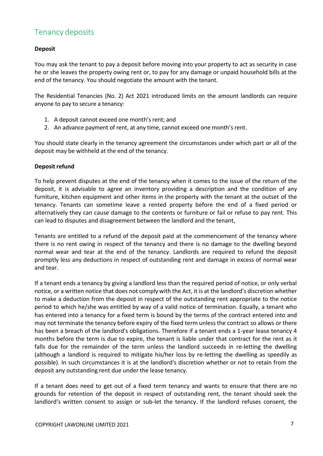# <span id="page-6-0"></span>Tenancy deposits

## **Deposit**

You may ask the tenant to pay a deposit before moving into your property to act as security in case he or she leaves the property owing rent or, to pay for any damage or unpaid household bills at the end of the tenancy. You should negotiate the amount with the tenant.

The Residential Tenancies (No. 2) Act 2021 introduced limits on the amount landlords can require anyone to pay to secure a tenancy:

- 1. A deposit cannot exceed one month's rent; and
- 2. An advance payment of rent, at any time, cannot exceed one month's rent.

You should state clearly in the tenancy agreement the circumstances under which part or all of the deposit may be withheld at the end of the tenancy.

#### **Deposit refund**

To help prevent disputes at the end of the tenancy when it comes to the issue of the return of the deposit, it is advisable to agree an inventory providing a description and the condition of any furniture, kitchen equipment and other items in the property with the tenant at the outset of the tenancy. Tenants can sometime leave a rented property before the end of a fixed period or alternatively they can cause damage to the contents or furniture or fail or refuse to pay rent. This can lead to disputes and disagreement between the landlord and the tenant,

Tenants are entitled to a refund of the deposit paid at the commencement of the tenancy where there is no rent owing in respect of the tenancy and there is no damage to the dwelling beyond normal wear and tear at the end of the tenancy. Landlords are required to refund the deposit promptly less any deductions in respect of outstanding rent and damage in excess of normal wear and tear.

If a tenant ends a tenancy by giving a landlord less than the required period of notice, or only verbal notice, or a written notice that does not comply with the Act, it is at the landlord's discretion whether to make a deduction from the deposit in respect of the outstanding rent appropriate to the notice period to which he/she was entitled by way of a valid notice of termination. Equally, a tenant who has entered into a tenancy for a fixed term is bound by the terms of the contract entered into and may not terminate the tenancy before expiry of the fixed term unless the contract so allows or there has been a breach of the landlord's obligations. Therefore if a tenant ends a 1-year lease tenancy 4 months before the term is due to expire, the tenant is liable under that contract for the rent as it falls due for the remainder of the term unless the landlord succeeds in re-letting the dwelling (although a landlord is required to mitigate his/her loss by re-letting the dwelling as speedily as possible). In such circumstances it is at the landlord's discretion whether or not to retain from the deposit any outstanding rent due under the lease tenancy.

If a tenant does need to get out of a fixed term tenancy and wants to ensure that there are no grounds for retention of the deposit in respect of outstanding rent, the tenant should seek the landlord's written consent to assign or sub-let the tenancy. If the landlord refuses consent, the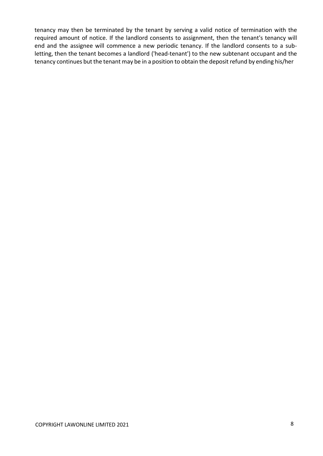tenancy may then be terminated by the tenant by serving a valid notice of termination with the required amount of notice. If the landlord consents to assignment, then the tenant's tenancy will end and the assignee will commence a new periodic tenancy. If the landlord consents to a subletting, then the tenant becomes a landlord ('head-tenant') to the new subtenant occupant and the tenancy continues but the tenant may be in a position to obtain the deposit refund by ending his/her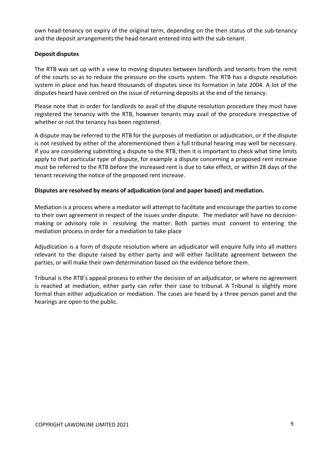own head-tenancy on expiry of the original term, depending on the then status of the sub-tenancy and the deposit arrangements the head-tenant entered into with the sub-tenant.

### **Deposit disputes**

The RTB was set up with a view to moving disputes between landlords and tenants from the remit of the courts so as to reduce the pressure on the courts system. The RTB has a dispute resolution system in place and has heard thousands of disputes since its formation in late 2004. A lot of the disputes heard have centred on the issue of returning deposits at the end of the tenancy.

Please note that in order for landlords to avail of the dispute resolution procedure they must have registered the tenancy with the RTB, however tenants may avail of the procedure irrespective of whether or not the tenancy has been registered.

A dispute may be referred to the RTB for the purposes of mediation or adjudication, or if the dispute is not resolved by either of the aforementioned then a full tribunal hearing may well be necessary. If you are considering submitting a dispute to the RTB, then it is important to check what time limits apply to that particular type of dispute, for example a dispute concerning a proposed rent increase must be referred to the RTB before the increased rent is due to take effect, or within 28 days of the tenant receiving the notice of the proposed rent increase.

#### **Disputes are resolved by means of adjudication (oral and paper based) and mediation.**

Mediation is a process where a mediator will attempt to facilitate and encourage the parties to come to their own agreement in respect of the issues under dispute. The mediator will have no decisionmaking or advisory role in resolving the matter. Both parties must consent to entering the mediation process in order for a mediation to take place

Adjudication is a form of dispute resolution where an adjudicator will enquire fully into all matters relevant to the dispute raised by either party and will either facilitate agreement between the parties, or will make their own determination based on the evidence before them.

Tribunal is the RTB's appeal process to either the decision of an adjudicator, or where no agreement is reached at mediation, either party can refer their case to tribunal. A Tribunal is slightly more formal than either adjudication or mediation. The cases are heard by a three person panel and the hearings are open to the public.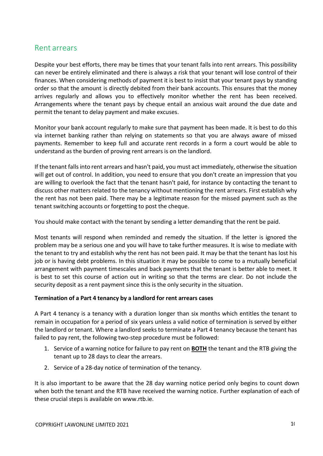## <span id="page-9-0"></span>Rent arrears

Despite your best efforts, there may be times that your tenant falls into rent arrears. This possibility can never be entirely eliminated and there is always a risk that your tenant will lose control of their finances. When considering methods of payment it is best to insist that your tenant pays by standing order so that the amount is directly debited from their bank accounts. This ensures that the money arrives regularly and allows you to effectively monitor whether the rent has been received. Arrangements where the tenant pays by cheque entail an anxious wait around the due date and permit the tenant to delay payment and make excuses.

Monitor your bank account regularly to make sure that payment has been made. It is best to do this via internet banking rather than relying on statements so that you are always aware of missed payments. Remember to keep full and accurate rent records in a form a court would be able to understand as the burden of proving rent arrears is on the landlord.

If the tenant fallsinto rent arrears and hasn't paid, you must act immediately, otherwise the situation will get out of control. In addition, you need to ensure that you don't create an impression that you are willing to overlook the fact that the tenant hasn't paid, for instance by contacting the tenant to discuss other matters related to the tenancy without mentioning the rent arrears. First establish why the rent has not been paid. There may be a legitimate reason for the missed payment such as the tenant switching accounts or forgetting to post the cheque.

You should make contact with the tenant by sending a letter demanding that the rent be paid.

Most tenants will respond when reminded and remedy the situation. If the letter is ignored the problem may be a serious one and you will have to take further measures. It is wise to mediate with the tenant to try and establish why the rent has not been paid. It may be that the tenant has lost his job or is having debt problems. In this situation it may be possible to come to a mutually beneficial arrangement with payment timescales and back payments that the tenant is better able to meet. It is best to set this course of action out in writing so that the terms are clear. Do not include the security deposit as a rent payment since this is the only security in the situation.

#### **Termination of a Part 4 tenancy by a landlord for rent arrears cases**

A Part 4 tenancy is a tenancy with a duration longer than six months which entitles the tenant to remain in occupation for a period of six years unless a valid notice of termination is served by either the landlord or tenant. Where a landlord seeks to terminate a Part 4 tenancy because the tenant has failed to pay rent, the following two-step procedure must be followed:

- 1. Service of a warning notice for failure to pay rent on **BOTH** the tenant and the RTB giving the tenant up to 28 days to clear the arrears.
- 2. Service of a 28-day notice of termination of the tenancy.

It is also important to be aware that the 28 day warning notice period only begins to count down when both the tenant and the RTB have received the warning notice. Further explanation of each of these crucial steps is available on [www.rtb.ie.](http://www.prtb.ie/)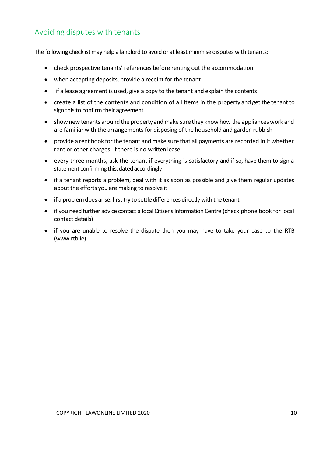# <span id="page-10-0"></span>Avoiding disputes with tenants

The following checklist may help a landlord to avoid or at least minimise disputes with tenants:

- check prospective tenants' references before renting out the accommodation
- when accepting deposits, provide a receipt for the tenant
- if a lease agreement is used, give a copy to the tenant and explain the contents
- create a list of the contents and condition of all items in the property and get the tenant to sign this to confirm their agreement
- show new tenants around the property and make sure they know how the appliances work and are familiar with the arrangements for disposing of the household and garden rubbish
- provide a rent book for the tenant and make sure that all payments are recorded in it whether rent or other charges, if there is no written lease
- every three months, ask the tenant if everything is satisfactory and if so, have them to sign a statement confirming this, dated accordingly
- if a tenant reports a problem, deal with it as soon as possible and give them regular updates about the efforts you are making to resolve it
- if a problem does arise, first try to settle differences directly with the tenant
- if you need further advice contact a local Citizens Information Centre (check phone book for local contact details)
- if you are unable to resolve the dispute then you may have to take your case to the RTB [\(www.rtb.ie\)](http://www.prtb.ie/)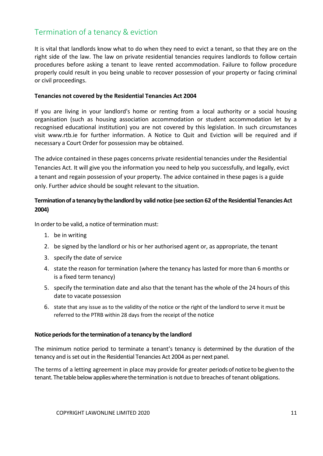# <span id="page-11-0"></span>Termination of a tenancy & eviction

It is vital that landlords know what to do when they need to evict a tenant, so that they are on the right side of the law. The law on private residential tenancies requires landlords to follow certain procedures before asking a tenant to leave rented accommodation. Failure to follow procedure properly could result in you being unable to recover possession of your property or facing criminal or civil proceedings.

#### **Tenancies not covered by the Residential Tenancies Act 2004**

If you are living in your landlord's home or renting from a local authority or a social housing organisation (such as housing association accommodation or student accommodation let by a recognised educational institution) you are not covered by this legislation. In such circumstances visit [www.rtb.ie](http://www.prtb.ie/) for further information. A Notice to Quit and Eviction will be required and if necessary a Court Order for possession may be obtained.

The advice contained in these pages concerns private residential tenancies under the Residential Tenancies Act. It will give you the information you need to help you successfully, and legally, evict a tenant and regain possession of your property. The advice contained in these pages is a guide only. Further advice should be sought relevant to the situation.

## **Terminationof a tenancybythelandlord by valid notice (see section 62 ofthe Residential TenanciesAct 2004)**

In order to be valid, a notice of termination must:

- 1. be in writing
- 2. be signed by the landlord or his or her authorised agent or, as appropriate, the tenant
- 3. specify the date of service
- 4. state the reason for termination (where the tenancy has lasted for more than 6 months or is a fixed term tenancy)
- 5. specify the termination date and also that the tenant has the whole of the 24 hours of this date to vacate possession
- 6. state that any issue as to the validity of the notice or the right of the landlord to serve it must be referred to the PTRB within 28 days from the receipt of the notice

#### **Notice periods for the termination of a tenancy by the landlord**

The minimum notice period to terminate a tenant's tenancy is determined by the duration of the tenancy and isset out in the Residential Tenancies Act 2004 as per next panel.

The terms of a letting agreement in place may provide for greater periods of notice to be given to the tenant. The table below applies where the termination is not due to breaches of tenant obligations.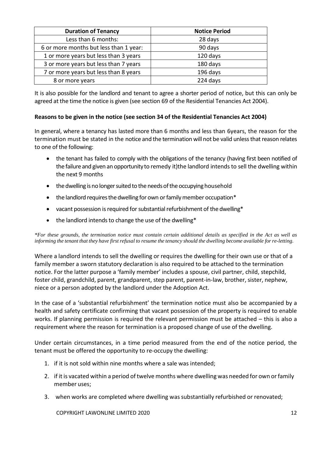| <b>Duration of Tenancy</b>             | <b>Notice Period</b> |
|----------------------------------------|----------------------|
| Less than 6 months:                    | 28 days              |
| 6 or more months but less than 1 year: | 90 days              |
| 1 or more years but less than 3 years  | 120 days             |
| 3 or more years but less than 7 years  | 180 days             |
| 7 or more years but less than 8 years  | 196 days             |
| 8 or more years                        | 224 days             |

It is also possible for the landlord and tenant to agree a shorter period of notice, but this can only be agreed at the time the notice is given (see section 69 of the Residential Tenancies Act 2004).

## **Reasons to be given in the notice (see section 34 of the Residential Tenancies Act 2004)**

In general, where a tenancy has lasted more than 6 months and less than 6years, the reason for the termination must be stated in the notice and the termination will not be valid unless that reason relates to one of the following:

- the tenant has failed to comply with the obligations of the tenancy (having first been notified of the failure and given an opportunity to remedy it)the landlord intends to sell the dwelling within the next 9 months
- the dwelling is no longer suited to the needs of the occupying household
- the landlord requires the dwelling for own or family member occupation\*
- vacant possession is required for substantial refurbishment of the dwelling\*
- the landlord intends to change the use of the dwelling\*

\*For these grounds, the termination notice must contain certain additional details as specified in the Act as well as informing the tenant that they have first refusal to resume the tenancy should the dwelling become available for re-letting.

Where a landlord intends to sell the dwelling or requires the dwelling for their own use or that of a family member a sworn statutory declaration is also required to be attached to the termination notice. For the latter purpose a 'family member' includes a spouse, civil partner, child, stepchild, foster child, grandchild, parent, grandparent, step parent, parent-in-law, brother, sister, nephew, niece or a person adopted by the landlord under the Adoption Act.

In the case of a 'substantial refurbishment' the termination notice must also be accompanied by a health and safety certificate confirming that vacant possession of the property is required to enable works. If planning permission is required the relevant permission must be attached – this is also a requirement where the reason for termination is a proposed change of use of the dwelling.

Under certain circumstances, in a time period measured from the end of the notice period, the tenant must be offered the opportunity to re-occupy the dwelling:

- 1. if it is not sold within nine months where a sale was intended;
- 2. if it is vacated within a period of twelve months where dwelling was needed for own or family member uses;
- 3. when works are completed where dwelling wassubstantially refurbished or renovated;

COPYRIGHT LAWONLINE LIMITED 2020 12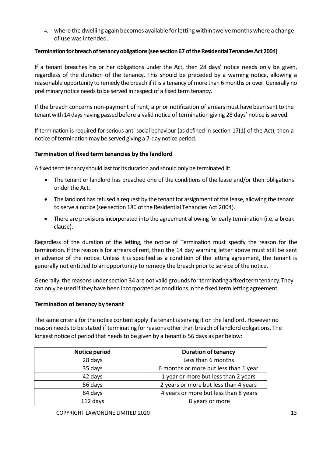4. where the dwelling again becomes available for letting within twelve months where a change of use was intended.

## **Termination for breach of tenancy obligations (see section 67 of the Residential Tenancies Act 2004)**

If a tenant breaches his or her obligations under the Act, then 28 days' notice needs only be given, regardless of the duration of the tenancy. This should be preceded by a warning notice, allowing a reasonable opportunity to remedy the breach if it is a tenancy of more than 6 months or over. Generally no preliminary notice needs to be served in respect of a fixed term tenancy.

If the breach concerns non-payment of rent, a prior notification of arrears must have been sent to the tenant with 14 days having passed before a valid notice of termination giving 28 days' notice is served.

If termination is required for serious anti-social behaviour (as defined in section 17(1) of the Act), then a notice of termination may be served giving a 7-day notice period.

## **Termination of fixed term tenancies by the landlord**

A fixed term tenancy should last for its duration and should only be terminated if:

- The tenant or landlord has breached one of the conditions of the lease and/or their obligations under the Act.
- The landlord has refused a request by the tenant for assignment of the lease, allowing the tenant to serve a notice (see section 186 of the Residential Tenancies Act 2004).
- There are provisions incorporated into the agreement allowing for early termination (i.e. a break clause).

Regardless of the duration of the letting, the notice of Termination must specify the reason for the termination. If the reason is for arrears of rent, then the 14 day warning letter above must still be sent in advance of the notice. Unless it is specified as a condition of the letting agreement, the tenant is generally not entitled to an opportunity to remedy the breach prior to service of the notice.

Generally, the reasons under section 34 are not valid grounds for terminating a fixed term tenancy. They can only be used if they have been incorporated as conditions in the fixed term letting agreement.

## **Termination of tenancy by tenant**

The same criteria for the notice content apply if a tenant is serving it on the landlord. However no reason needs to be stated if terminating for reasons other than breach of landlord obligations. The longest notice of period that needs to be given by a tenant is 56 days as per below:

| Notice period | <b>Duration of tenancy</b>            |
|---------------|---------------------------------------|
| 28 days       | Less than 6 months                    |
| 35 days       | 6 months or more but less than 1 year |
| 42 days       | 1 year or more but less than 2 years  |
| 56 days       | 2 years or more but less than 4 years |
| 84 days       | 4 years or more but less than 8 years |
| 112 days      | 8 years or more                       |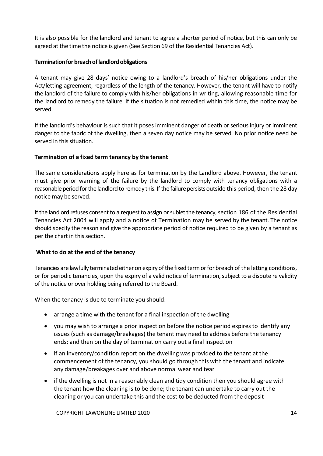It is also possible for the landlord and tenant to agree a shorter period of notice, but this can only be agreed at the time the notice is given (See Section 69 of the Residential Tenancies Act).

#### **Termination for breach of landlord obligations**

A tenant may give 28 days' notice owing to a landlord's breach of his/her obligations under the Act/letting agreement, regardless of the length of the tenancy. However, the tenant will have to notify the landlord of the failure to comply with his/her obligations in writing, allowing reasonable time for the landlord to remedy the failure. If the situation is not remedied within this time, the notice may be served.

If the landlord's behaviour is such that it poses imminent danger of death or serious injury or imminent danger to the fabric of the dwelling, then a seven day notice may be served. No prior notice need be served in this situation.

#### **Termination of a fixed term tenancy by the tenant**

The same considerations apply here as for termination by the Landlord above. However, the tenant must give prior warning of the failure by the landlord to comply with tenancy obligations with a reasonable period for the landlord to remedy this. If the failure persists outside this period, then the 28 day notice may be served.

If the landlord refuses consent to a request to assign or sublet the tenancy, section 186 of the Residential Tenancies Act 2004 will apply and a notice of Termination may be served by the tenant. The notice should specify the reason and give the appropriate period of notice required to be given by a tenant as per the chart in this section.

#### **What to do at the end of the tenancy**

Tenancies are lawfully terminated either on expiry of the fixed term or for breach of the letting conditions, or for periodic tenancies, upon the expiry of a valid notice of termination,subject to a dispute re validity of the notice or over holding being referred to the Board.

When the tenancy is due to terminate you should:

- arrange a time with the tenant for a final inspection of the dwelling
- you may wish to arrange a prior inspection before the notice period expires to identify any issues (such as damage/breakages) the tenant may need to address before the tenancy ends; and then on the day of termination carry out a final inspection
- if an inventory/condition report on the dwelling was provided to the tenant at the commencement of the tenancy, you should go through this with the tenant and indicate any damage/breakages over and above normal wear and tear
- if the dwelling is not in a reasonably clean and tidy condition then you should agree with the tenant how the cleaning is to be done; the tenant can undertake to carry out the cleaning or you can undertake this and the cost to be deducted from the deposit

COPYRIGHT LAWONLINE LIMITED 2020 14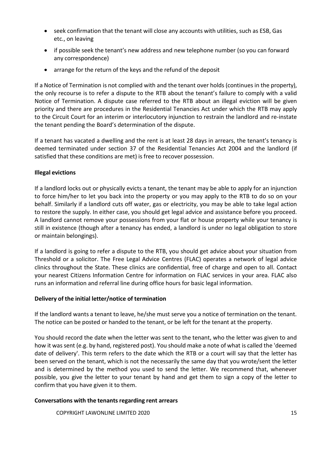- seek confirmation that the tenant will close any accounts with utilities, such as ESB, Gas etc., on leaving
- if possible seek the tenant's new address and new telephone number (so you can forward any correspondence)
- arrange for the return of the keys and the refund of the deposit

If a Notice of Termination is not complied with and the tenant over holds (continues in the property), the only recourse is to refer a dispute to the RTB about the tenant's failure to comply with a valid Notice of Termination. A dispute case referred to the RTB about an illegal eviction will be given priority and there are procedures in the Residential Tenancies Act under which the RTB may apply to the Circuit Court for an interim or interlocutory injunction to restrain the landlord and re-instate the tenant pending the Board's determination of the dispute.

If a tenant has vacated a dwelling and the rent is at least 28 days in arrears, the tenant's tenancy is deemed terminated under section 37 of the Residential Tenancies Act 2004 and the landlord (if satisfied that these conditions are met) is free to recover possession.

## **Illegal evictions**

If a landlord locks out or physically evicts a tenant, the tenant may be able to apply for an injunction to force him/her to let you back into the property or you may apply to the RTB to do so on your behalf. Similarly if a landlord cuts off water, gas or electricity, you may be able to take legal action to restore the supply. In either case, you should get legal advice and assistance before you proceed. A landlord cannot remove your possessions from your flat or house property while your tenancy is still in existence (though after a tenancy has ended, a landlord is under no legal obligation to store or maintain belongings).

If a landlord is going to refer a dispute to the RTB, you should get advice about your situation from Threshold or a solicitor. The Free Legal Advice Centres (FLAC) operates a network of legal advice clinics throughout the State. These clinics are confidential, free of charge and open to all. Contact your nearest Citizens [Information](http://centres.citizensinformation.ie/) Centre for information on FLAC services in your area. FLAC also runs an information and referral line during office hours for basic legal information.

#### **Delivery of the initial letter/notice of termination**

If the landlord wants a tenant to leave, he/she must serve you a notice of termination on the tenant. The notice can be posted or handed to the tenant, or be left for the tenant at the property.

You should record the date when the letter was sent to the tenant, who the letter was given to and how it wassent (e.g. by hand, registered post). You should make a note of what is called the 'deemed date of delivery'. This term refers to the date which the RTB or a court will say that the letter has been served on the tenant, which is not the necessarily the same day that you wrote/sent the letter and is determined by the method you used to send the letter. We recommend that, whenever possible, you give the letter to your tenant by hand and get them to sign a copy of the letter to confirm that you have given it to them.

#### **Conversations with the tenants regarding rent arrears**

COPYRIGHT LAWONLINE LIMITED 2020 15 15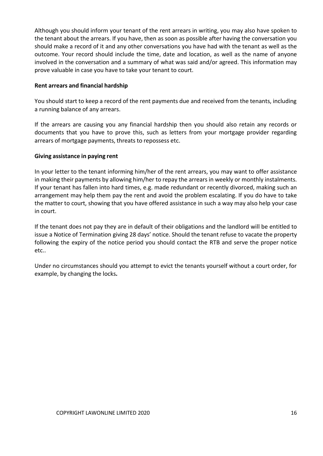Although you should inform your tenant of the rent arrears in writing, you may also have spoken to the tenant about the arrears. If you have, then as soon as possible after having the conversation you should make a record of it and any other conversations you have had with the tenant as well as the outcome. Your record should include the time, date and location, as well as the name of anyone involved in the conversation and a summary of what was said and/or agreed. This information may prove valuable in case you have to take your tenant to court.

#### **Rent arrears and financial hardship**

You should start to keep a record of the rent payments due and received from the tenants, including a running balance of any arrears.

If the arrears are causing you any financial hardship then you should also retain any records or documents that you have to prove this, such as letters from your mortgage provider regarding arrears of mortgage payments, threats to repossess etc.

#### **Giving assistance in paying rent**

In your letter to the tenant informing him/her of the rent arrears, you may want to offer assistance in making their payments by allowing him/her to repay the arrears in weekly or monthly instalments. If your tenant has fallen into hard times, e.g. made redundant or recently divorced, making such an arrangement may help them pay the rent and avoid the problem escalating. If you do have to take the matter to court, showing that you have offered assistance in such a way may also help your case in court.

If the tenant does not pay they are in default of their obligations and the landlord will be entitled to issue a Notice of Termination giving 28 days' notice. Should the tenant refuse to vacate the property following the expiry of the notice period you should contact the RTB and serve the proper notice etc..

Under no circumstances should you attempt to evict the tenants yourself without a court order, for example, by changing the locks**.**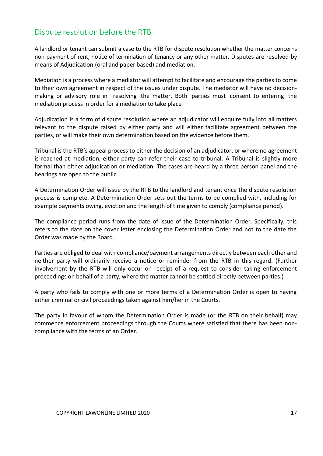# Dispute resolution before the RTB

A landlord or tenant can submit a case to the RTB for dispute resolution whether the matter concerns non-payment of rent, notice of termination of tenancy or any other matter. Disputes are resolved by means of Adjudication (oral and paper based) and mediation.

Mediation is a process where a mediator will attempt to facilitate and encourage the parties to come to their own agreement in respect of the issues under dispute. The mediator will have no decisionmaking or advisory role in resolving the matter. Both parties must consent to entering the mediation process in order for a mediation to take place

Adjudication is a form of dispute resolution where an adjudicator will enquire fully into all matters relevant to the dispute raised by either party and will either facilitate agreement between the parties, or will make their own determination based on the evidence before them.

Tribunal is the RTB's appeal process to either the decision of an adjudicator, or where no agreement is reached at mediation, either party can refer their case to tribunal. A Tribunal is slightly more formal than either adjudication or mediation. The cases are heard by a three person panel and the hearings are open to the public

A Determination Order will issue by the RTB to the landlord and tenant once the dispute resolution process is complete. A Determination Order sets out the terms to be complied with, including for example payments owing, eviction and the length of time given to comply (compliance period).

The compliance period runs from the date of issue of the Determination Order. Specifically, this refers to the date on the cover letter enclosing the Determination Order and not to the date the Order was made by the Board.

Parties are obliged to deal with compliance/payment arrangements directly between each other and neither party will ordinarily receive a notice or reminder from the RTB in this regard. (Further involvement by the RTB will only occur on receipt of a request to consider taking enforcement proceedings on behalf of a party, where the matter cannot be settled directly between parties.)

A party who fails to comply with one or more terms of a Determination Order is open to having either criminal or civil proceedings taken against him/her in the Courts.

The party in favour of whom the Determination Order is made (or the RTB on their behalf) may commence enforcement proceedings through the Courts where satisfied that there has been noncompliance with the terms of an Order.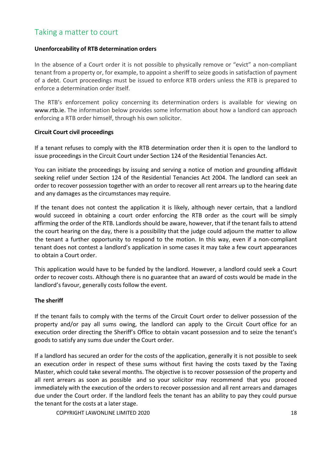# <span id="page-18-0"></span>Taking a matter to court

#### **Unenforceability of RTB determination orders**

In the absence of a Court order it is not possible to physically remove or "evict" a non-compliant tenant from a property or, for example, to appoint a sheriff to seize goods in satisfaction of payment of a debt. Court proceedings must be issued to enforce RTB orders unless the RTB is prepared to enforce a determination order itself.

The RTB's enforcement policy concerning its determination orders is available for viewing on [www.rtb.ie.](http://www.prtb.ie/) The information below provides some information about how a landlord can approach enforcing a RTB order himself, through his own solicitor.

#### **Circuit Court civil proceedings**

If a tenant refuses to comply with the RTB determination order then it is open to the landlord to issue proceedings in the Circuit Court under Section 124 of the Residential Tenancies Act.

You can initiate the proceedings by issuing and serving a notice of motion and grounding affidavit seeking relief under Section 124 of the Residential Tenancies Act 2004. The landlord can seek an order to recover possession together with an order to recover all rent arrears up to the hearing date and any damages as the circumstances may require.

If the tenant does not contest the application it is likely, although never certain, that a landlord would succeed in obtaining a court order enforcing the RTB order as the court will be simply affirming the order of the RTB. Landlords should be aware, however, that if the tenant fails to attend the court hearing on the day, there is a possibility that the judge could adjourn the matter to allow the tenant a further opportunity to respond to the motion. In this way, even if a non-compliant tenant does not contest a landlord's application in some cases it may take a few court appearances to obtain a Court order.

This application would have to be funded by the landlord. However, a landlord could seek a Court order to recover costs. Although there is no guarantee that an award of costs would be made in the landlord's favour, generally costs follow the event.

## **The sheriff**

If the tenant fails to comply with the terms of the Circuit Court order to deliver possession of the property and/or pay all sums owing, the landlord can apply to the Circuit Court office for an execution order directing the Sheriff's Office to obtain vacant possession and to seize the tenant's goods to satisfy any sums due under the Court order.

If a landlord has secured an order for the costs of the application, generally it is not possible to seek an execution order in respect of these sums without first having the costs taxed by the Taxing Master, which could take several months. The objective is to recover possession of the property and all rent arrears as soon as possible and so your solicitor may recommend that you proceed immediately with the execution of the orders to recover possession and all rent arrears and damages due under the Court order. If the landlord feels the tenant has an ability to pay they could pursue the tenant for the costs at a later stage.

COPYRIGHT LAWONLINE LIMITED 2020 18 and the control of the control of the control of the control of the control of the control of the control of the control of the control of the control of the control of the control of th